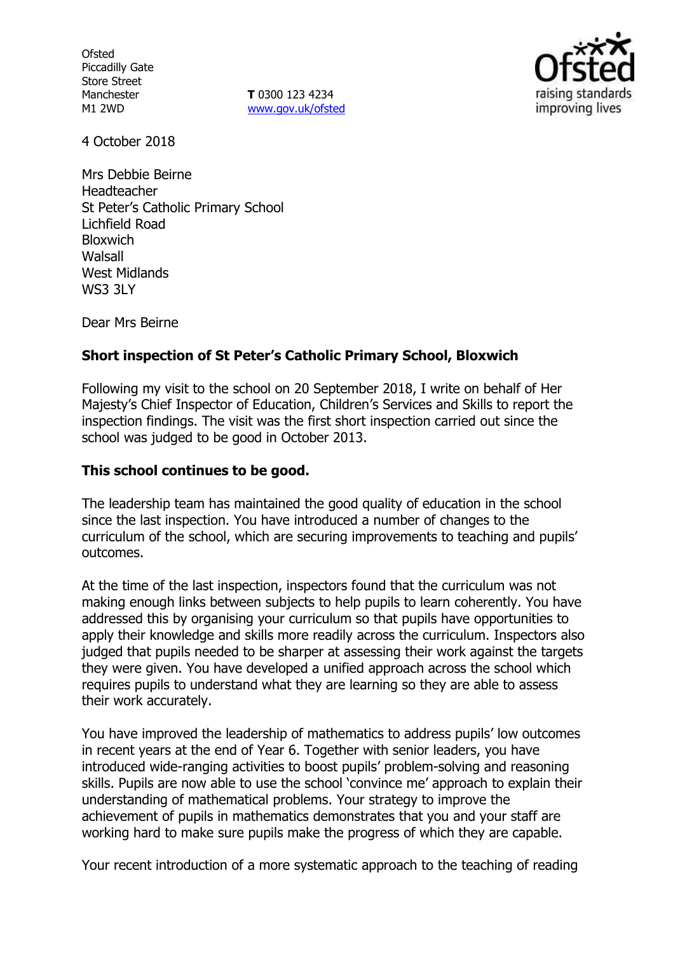**Ofsted** Piccadilly Gate Store Street Manchester M1 2WD

**T** 0300 123 4234 www.gov.uk/ofsted



4 October 2018

Mrs Debbie Beirne Headteacher St Peter's Catholic Primary School Lichfield Road **Bloxwich Walsall** West Midlands WS3 3LY

Dear Mrs Beirne

## **Short inspection of St Peter's Catholic Primary School, Bloxwich**

Following my visit to the school on 20 September 2018, I write on behalf of Her Majesty's Chief Inspector of Education, Children's Services and Skills to report the inspection findings. The visit was the first short inspection carried out since the school was judged to be good in October 2013.

### **This school continues to be good.**

The leadership team has maintained the good quality of education in the school since the last inspection. You have introduced a number of changes to the curriculum of the school, which are securing improvements to teaching and pupils' outcomes.

At the time of the last inspection, inspectors found that the curriculum was not making enough links between subjects to help pupils to learn coherently. You have addressed this by organising your curriculum so that pupils have opportunities to apply their knowledge and skills more readily across the curriculum. Inspectors also judged that pupils needed to be sharper at assessing their work against the targets they were given. You have developed a unified approach across the school which requires pupils to understand what they are learning so they are able to assess their work accurately.

You have improved the leadership of mathematics to address pupils' low outcomes in recent years at the end of Year 6. Together with senior leaders, you have introduced wide-ranging activities to boost pupils' problem-solving and reasoning skills. Pupils are now able to use the school 'convince me' approach to explain their understanding of mathematical problems. Your strategy to improve the achievement of pupils in mathematics demonstrates that you and your staff are working hard to make sure pupils make the progress of which they are capable.

Your recent introduction of a more systematic approach to the teaching of reading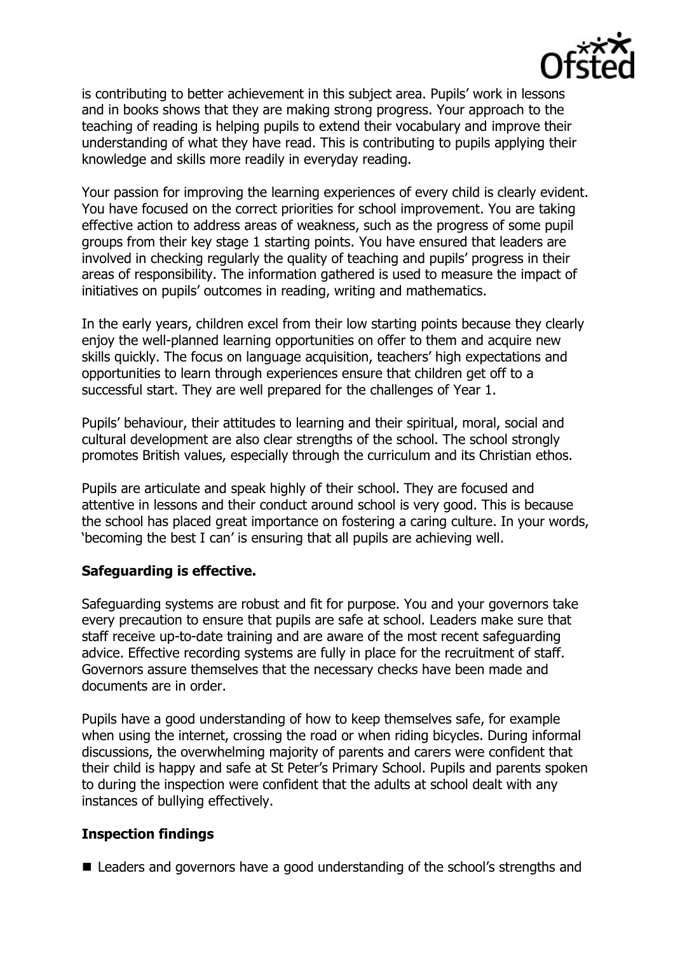

is contributing to better achievement in this subject area. Pupils' work in lessons and in books shows that they are making strong progress. Your approach to the teaching of reading is helping pupils to extend their vocabulary and improve their understanding of what they have read. This is contributing to pupils applying their knowledge and skills more readily in everyday reading.

Your passion for improving the learning experiences of every child is clearly evident. You have focused on the correct priorities for school improvement. You are taking effective action to address areas of weakness, such as the progress of some pupil groups from their key stage 1 starting points. You have ensured that leaders are involved in checking regularly the quality of teaching and pupils' progress in their areas of responsibility. The information gathered is used to measure the impact of initiatives on pupils' outcomes in reading, writing and mathematics.

In the early years, children excel from their low starting points because they clearly enjoy the well-planned learning opportunities on offer to them and acquire new skills quickly. The focus on language acquisition, teachers' high expectations and opportunities to learn through experiences ensure that children get off to a successful start. They are well prepared for the challenges of Year 1.

Pupils' behaviour, their attitudes to learning and their spiritual, moral, social and cultural development are also clear strengths of the school. The school strongly promotes British values, especially through the curriculum and its Christian ethos.

Pupils are articulate and speak highly of their school. They are focused and attentive in lessons and their conduct around school is very good. This is because the school has placed great importance on fostering a caring culture. In your words, 'becoming the best I can' is ensuring that all pupils are achieving well.

## **Safeguarding is effective.**

Safeguarding systems are robust and fit for purpose. You and your governors take every precaution to ensure that pupils are safe at school. Leaders make sure that staff receive up-to-date training and are aware of the most recent safeguarding advice. Effective recording systems are fully in place for the recruitment of staff. Governors assure themselves that the necessary checks have been made and documents are in order.

Pupils have a good understanding of how to keep themselves safe, for example when using the internet, crossing the road or when riding bicycles. During informal discussions, the overwhelming majority of parents and carers were confident that their child is happy and safe at St Peter's Primary School. Pupils and parents spoken to during the inspection were confident that the adults at school dealt with any instances of bullying effectively.

## **Inspection findings**

■ Leaders and governors have a good understanding of the school's strengths and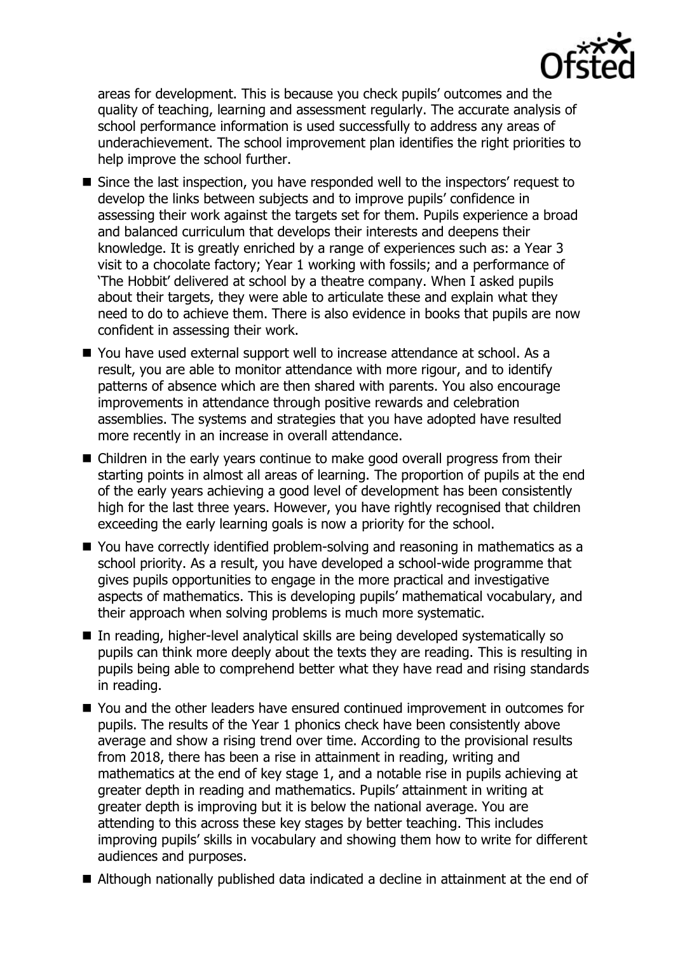

areas for development. This is because you check pupils' outcomes and the quality of teaching, learning and assessment regularly. The accurate analysis of school performance information is used successfully to address any areas of underachievement. The school improvement plan identifies the right priorities to help improve the school further.

- Since the last inspection, you have responded well to the inspectors' request to develop the links between subjects and to improve pupils' confidence in assessing their work against the targets set for them. Pupils experience a broad and balanced curriculum that develops their interests and deepens their knowledge. It is greatly enriched by a range of experiences such as: a Year 3 visit to a chocolate factory; Year 1 working with fossils; and a performance of 'The Hobbit' delivered at school by a theatre company. When I asked pupils about their targets, they were able to articulate these and explain what they need to do to achieve them. There is also evidence in books that pupils are now confident in assessing their work.
- You have used external support well to increase attendance at school. As a result, you are able to monitor attendance with more rigour, and to identify patterns of absence which are then shared with parents. You also encourage improvements in attendance through positive rewards and celebration assemblies. The systems and strategies that you have adopted have resulted more recently in an increase in overall attendance.
- Children in the early years continue to make good overall progress from their starting points in almost all areas of learning. The proportion of pupils at the end of the early years achieving a good level of development has been consistently high for the last three years. However, you have rightly recognised that children exceeding the early learning goals is now a priority for the school.
- You have correctly identified problem-solving and reasoning in mathematics as a school priority. As a result, you have developed a school-wide programme that gives pupils opportunities to engage in the more practical and investigative aspects of mathematics. This is developing pupils' mathematical vocabulary, and their approach when solving problems is much more systematic.
- In reading, higher-level analytical skills are being developed systematically so pupils can think more deeply about the texts they are reading. This is resulting in pupils being able to comprehend better what they have read and rising standards in reading.
- You and the other leaders have ensured continued improvement in outcomes for pupils. The results of the Year 1 phonics check have been consistently above average and show a rising trend over time. According to the provisional results from 2018, there has been a rise in attainment in reading, writing and mathematics at the end of key stage 1, and a notable rise in pupils achieving at greater depth in reading and mathematics. Pupils' attainment in writing at greater depth is improving but it is below the national average. You are attending to this across these key stages by better teaching. This includes improving pupils' skills in vocabulary and showing them how to write for different audiences and purposes.
- Although nationally published data indicated a decline in attainment at the end of